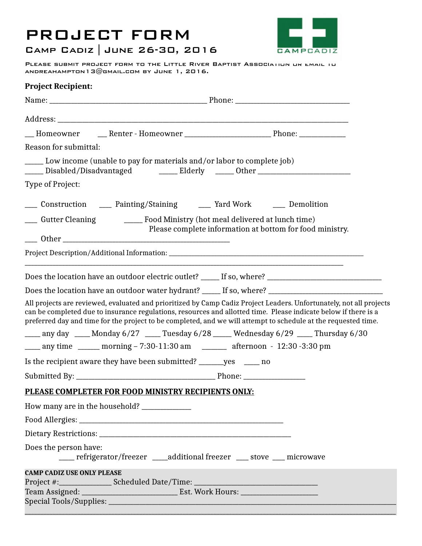## PROJECT FORM



## Camp Cadiz | June 26-30, 2016

PLEASE SUBMIT PROJECT FORM TO THE LITTLE RIVER BAPTIST ASSOCIATION OR EMAIL TO andreahampton13@gmail.com by June 1, 2016.

| <b>Project Recipient:</b>         |                                                                                   |                                                                                                                                                                                                                                                                                                                                                          |  |
|-----------------------------------|-----------------------------------------------------------------------------------|----------------------------------------------------------------------------------------------------------------------------------------------------------------------------------------------------------------------------------------------------------------------------------------------------------------------------------------------------------|--|
|                                   |                                                                                   |                                                                                                                                                                                                                                                                                                                                                          |  |
|                                   |                                                                                   |                                                                                                                                                                                                                                                                                                                                                          |  |
|                                   |                                                                                   |                                                                                                                                                                                                                                                                                                                                                          |  |
| Reason for submittal:             |                                                                                   |                                                                                                                                                                                                                                                                                                                                                          |  |
|                                   | _____ Low income (unable to pay for materials and/or labor to complete job)       | _____ Disabled/Disadvantaged     _____ Elderly   _____ Other ___________________                                                                                                                                                                                                                                                                         |  |
| Type of Project:                  |                                                                                   |                                                                                                                                                                                                                                                                                                                                                          |  |
|                                   |                                                                                   | ___ Construction ____ Painting/Staining _____ Yard Work ____ Demolition                                                                                                                                                                                                                                                                                  |  |
|                                   | ___ Gutter Cleaning ___________ Food Ministry (hot meal delivered at lunch time)  |                                                                                                                                                                                                                                                                                                                                                          |  |
|                                   |                                                                                   | Please complete information at bottom for food ministry.                                                                                                                                                                                                                                                                                                 |  |
|                                   |                                                                                   |                                                                                                                                                                                                                                                                                                                                                          |  |
|                                   |                                                                                   |                                                                                                                                                                                                                                                                                                                                                          |  |
|                                   |                                                                                   | Does the location have an outdoor water hydrant? _____ If so, where? _______________________________                                                                                                                                                                                                                                                     |  |
|                                   |                                                                                   | All projects are reviewed, evaluated and prioritized by Camp Cadiz Project Leaders. Unfortunately, not all projects<br>can be completed due to insurance regulations, resources and allotted time. Please indicate below if there is a<br>preferred day and time for the project to be completed, and we will attempt to schedule at the requested time. |  |
|                                   |                                                                                   | ____ any day ____ Monday 6/27 ____ Tuesday 6/28 ____ Wednesday 6/29 ____ Thursday 6/30                                                                                                                                                                                                                                                                   |  |
|                                   |                                                                                   | ____ any time ______ morning - 7:30-11:30 am ______ afternoon - 12:30 -3:30 pm                                                                                                                                                                                                                                                                           |  |
|                                   | Is the recipient aware they have been submitted? ________ yes ______ no           |                                                                                                                                                                                                                                                                                                                                                          |  |
|                                   |                                                                                   |                                                                                                                                                                                                                                                                                                                                                          |  |
|                                   | PLEASE COMPLETER FOR FOOD MINISTRY RECIPIENTS ONLY:                               |                                                                                                                                                                                                                                                                                                                                                          |  |
|                                   | How many are in the household? ______________                                     |                                                                                                                                                                                                                                                                                                                                                          |  |
|                                   |                                                                                   |                                                                                                                                                                                                                                                                                                                                                          |  |
|                                   |                                                                                   |                                                                                                                                                                                                                                                                                                                                                          |  |
| Does the person have:             |                                                                                   | ____ refrigerator/freezer _____additional freezer ____ stove ____ microwave                                                                                                                                                                                                                                                                              |  |
| <b>CAMP CADIZ USE ONLY PLEASE</b> |                                                                                   |                                                                                                                                                                                                                                                                                                                                                          |  |
|                                   | Project #:______________________Scheduled Date/Time: ____________________________ |                                                                                                                                                                                                                                                                                                                                                          |  |
|                                   |                                                                                   |                                                                                                                                                                                                                                                                                                                                                          |  |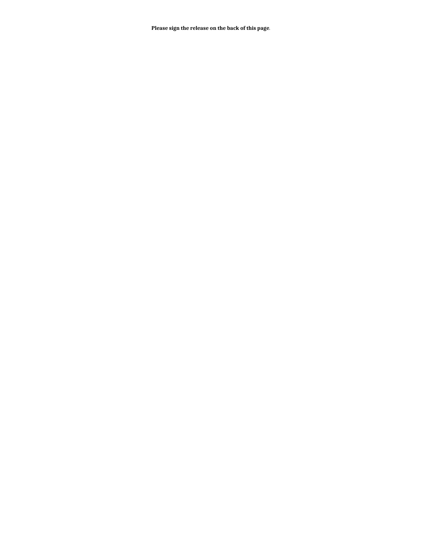**Please sign the release on the back of this page**.